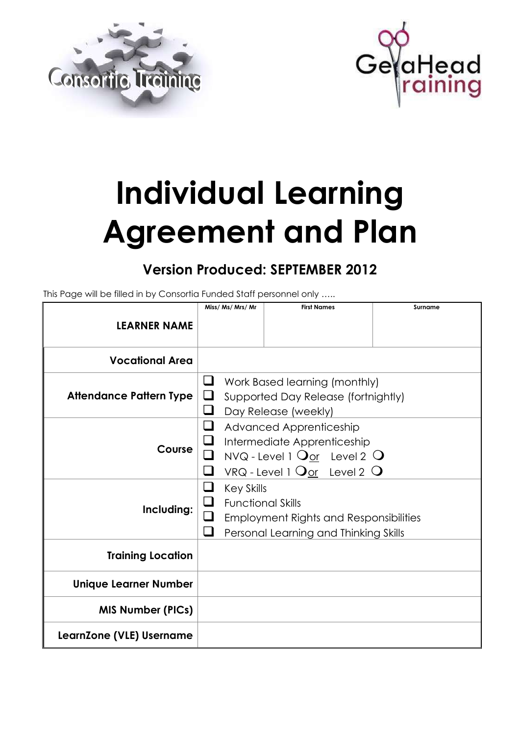



# **Individual Learning Agreement and Plan**

# **Version Produced: SEPTEMBER 2012**

This Page will be filled in by Consortia Funded Staff personnel only …..

|                                | Miss/ Ms/ Mrs/ Mr                                  | <b>First Names</b>                                                                                                                                                 | Surname |
|--------------------------------|----------------------------------------------------|--------------------------------------------------------------------------------------------------------------------------------------------------------------------|---------|
| <b>LEARNER NAME</b>            |                                                    |                                                                                                                                                                    |         |
| <b>Vocational Area</b>         |                                                    |                                                                                                                                                                    |         |
| <b>Attendance Pattern Type</b> | u<br>⊔                                             | Work Based learning (monthly)<br>Supported Day Release (fortnightly)<br>Day Release (weekly)                                                                       |         |
| Course                         |                                                    | Advanced Apprenticeship<br>Intermediate Apprenticeship<br>NVQ - Level 1 $Q_{\text{or}}$ Level 2 $Q$<br>VRQ - Level 1 $\mathbf{Q}_{\text{or}}$ Level 2 $\mathbf{Q}$ |         |
| Including:                     | ⊔<br><b>Key Skills</b><br><b>Functional Skills</b> | <b>Employment Rights and Responsibilities</b><br>Personal Learning and Thinking Skills                                                                             |         |
| <b>Training Location</b>       |                                                    |                                                                                                                                                                    |         |
| <b>Unique Learner Number</b>   |                                                    |                                                                                                                                                                    |         |
| <b>MIS Number (PICs)</b>       |                                                    |                                                                                                                                                                    |         |
| LearnZone (VLE) Username       |                                                    |                                                                                                                                                                    |         |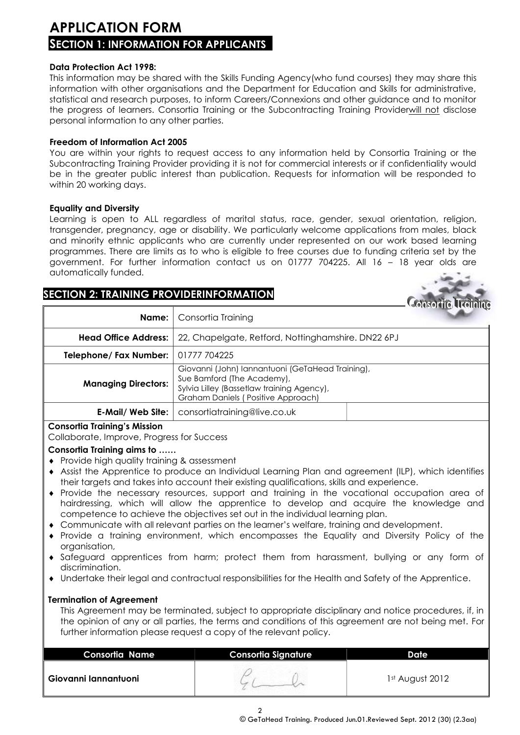# **APPLICATION FORM SECTION 1: INFORMATION FOR APPLICANTS**

#### **Data Protection Act 1998:**

This information may be shared with the Skills Funding Agency(who fund courses) they may share this information with other organisations and the Department for Education and Skills for administrative, statistical and research purposes, to inform Careers/Connexions and other guidance and to monitor the progress of learners. Consortia Training or the Subcontracting Training Providerwill not disclose personal information to any other parties.

#### **Freedom of Information Act 2005**

You are within your rights to request access to any information held by Consortia Training or the Subcontracting Training Provider providing it is not for commercial interests or if confidentiality would be in the greater public interest than publication. Requests for information will be responded to within 20 working days.

#### **Equality and Diversity**

Learning is open to ALL regardless of marital status, race, gender, sexual orientation, religion, transgender, pregnancy, age or disability. We particularly welcome applications from males, black and minority ethnic applicants who are currently under represented on our work based learning programmes. There are limits as to who is eligible to free courses due to funding criteria set by the government. For further information contact us on 01777 704225. All 16 – 18 year olds are automatically funded.

## **SECTION 2: TRAINING PROVIDERINFORMATION**

|                                     |                                                                                                                                                                    | Consortio Training |
|-------------------------------------|--------------------------------------------------------------------------------------------------------------------------------------------------------------------|--------------------|
| Name:                               | Consortia Training                                                                                                                                                 |                    |
|                                     | <b>Head Office Address:</b> 22, Chapelgate, Retford, Nottinghamshire. DN22 6PJ                                                                                     |                    |
| Telephone/ Fax Number: 01777 704225 |                                                                                                                                                                    |                    |
| <b>Managing Directors:</b>          | Giovanni (John) Iannantuoni (GeTaHead Training),<br>Sue Bamford (The Academy),<br>Sylvia Lilley (Bassetlaw training Agency),<br>Graham Daniels (Positive Approach) |                    |
|                                     | <b>E-Mail/ Web Site:</b>   consortiatraining@live.co.uk                                                                                                            |                    |

#### **Consortia Training's Mission**

Collaborate, Improve, Progress for Success

#### **Consortia Training aims to ……**

- Provide high quality training & assessment
- Assist the Apprentice to produce an Individual Learning Plan and agreement (ILP), which identifies their targets and takes into account their existing qualifications, skills and experience.
- Provide the necessary resources, support and training in the vocational occupation area of hairdressing, which will allow the apprentice to develop and acquire the knowledge and competence to achieve the objectives set out in the individual learning plan.
- Communicate with all relevant parties on the learner's welfare, training and development.
- Provide a training environment, which encompasses the Equality and Diversity Policy of the organisation,
- Safeguard apprentices from harm; protect them from harassment, bullying or any form of discrimination.
- Undertake their legal and contractual responsibilities for the Health and Safety of the Apprentice.

#### **Termination of Agreement**

This Agreement may be terminated, subject to appropriate disciplinary and notice procedures, if, in the opinion of any or all parties, the terms and conditions of this agreement are not being met. For further information please request a copy of the relevant policy.

| <b>Consortia Name</b> | <b>Consortia Signature</b> | Datel             |
|-----------------------|----------------------------|-------------------|
| Giovanni lannantuoni  |                            | $1st$ August 2012 |

2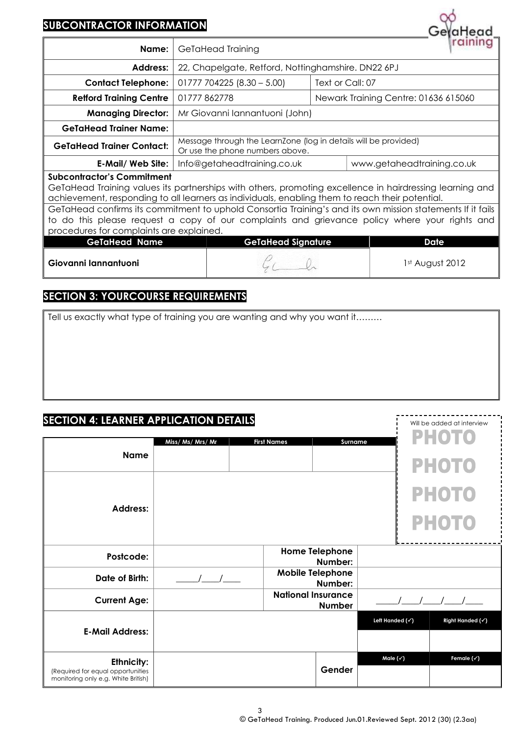# **SUBCONTRACTOR INFORMATION**

| <u>JUDCONINACION INI OMNAIION</u>                                                                                                                                                                                                                                                                                                                              |  |                                                                                                    |  | GelaHead                                                                                      |  |  |
|----------------------------------------------------------------------------------------------------------------------------------------------------------------------------------------------------------------------------------------------------------------------------------------------------------------------------------------------------------------|--|----------------------------------------------------------------------------------------------------|--|-----------------------------------------------------------------------------------------------|--|--|
| Name:                                                                                                                                                                                                                                                                                                                                                          |  | GeTaHead Training                                                                                  |  |                                                                                               |  |  |
| Address:                                                                                                                                                                                                                                                                                                                                                       |  | 22, Chapelgate, Retford, Nottinghamshire. DN22 6PJ                                                 |  |                                                                                               |  |  |
| <b>Contact Telephone:</b>                                                                                                                                                                                                                                                                                                                                      |  | $01777704225(8.30-5.00)$<br>Text or Call: 07                                                       |  |                                                                                               |  |  |
| <b>Refford Training Centre</b>                                                                                                                                                                                                                                                                                                                                 |  | Newark Training Centre: 01636 615060<br>01777862778                                                |  |                                                                                               |  |  |
| <b>Managing Director:</b>                                                                                                                                                                                                                                                                                                                                      |  | Mr Giovanni Iannantuoni (John)                                                                     |  |                                                                                               |  |  |
| <b>GeTaHead Trainer Name:</b>                                                                                                                                                                                                                                                                                                                                  |  |                                                                                                    |  |                                                                                               |  |  |
| <b>GeTaHead Trainer Contact:</b>                                                                                                                                                                                                                                                                                                                               |  | Message through the LearnZone (log in details will be provided)<br>Or use the phone numbers above. |  |                                                                                               |  |  |
| <b>E-Mail/ Web Site:</b>                                                                                                                                                                                                                                                                                                                                       |  | Info@getaheadtraining.co.uk<br>www.getaheadtraining.co.uk                                          |  |                                                                                               |  |  |
| <b>Subcontractor's Commitment</b><br>GeTaHead Training values its partnerships with others, promoting excellence in hairdressing learning and<br>achievement, responding to all learners as individuals, enabling them to reach their potential.<br>GeTaHead confirms its commitment to uphold Consortia Training's and its own mission statements If it fails |  |                                                                                                    |  |                                                                                               |  |  |
| procedures for complaints are explained.                                                                                                                                                                                                                                                                                                                       |  |                                                                                                    |  | to do this please request a copy of our complaints and grievance policy where your rights and |  |  |
| <b>GeTaHead Name</b>                                                                                                                                                                                                                                                                                                                                           |  | <b>GeTaHead Signature</b>                                                                          |  | <b>Date</b>                                                                                   |  |  |
| Giovanni Iannantuoni                                                                                                                                                                                                                                                                                                                                           |  |                                                                                                    |  | 1st August 2012                                                                               |  |  |

## **SECTION 3: YOURCOURSE REQUIREMENTS**

Tell us exactly what type of training you are wanting and why you want it………

### **SECTION 4: LEARNER APPLICATION DETAILS**

|                                                                                        | Miss/ Ms/ Mrs/ Mr | <b>First Names</b><br>Surname              |                 | <b>PHOTO</b>          |
|----------------------------------------------------------------------------------------|-------------------|--------------------------------------------|-----------------|-----------------------|
| <b>Name</b>                                                                            |                   |                                            |                 | <b>PHOTO</b>          |
|                                                                                        |                   |                                            |                 | <b>PHOTO</b>          |
| <b>Address:</b>                                                                        |                   |                                            |                 | <b>PHOTO</b>          |
| Postcode:                                                                              |                   | <b>Home Telephone</b><br>Number:           |                 |                       |
| Date of Birth:                                                                         |                   | <b>Mobile Telephone</b><br>Number:         |                 |                       |
| <b>Current Age:</b>                                                                    |                   | <b>National Insurance</b><br><b>Number</b> |                 |                       |
| <b>E-Mail Address:</b>                                                                 |                   |                                            | Left Handed (v) | Right Handed (v)      |
|                                                                                        |                   |                                            |                 |                       |
| Ethnicity:<br>(Required for equal opportunities<br>monitoring only e.g. White British) |                   | Gender                                     | Male (v)        | Female $(\check{ }')$ |

Will be added at interview

 $\frac{1}{2}$ 

QÓ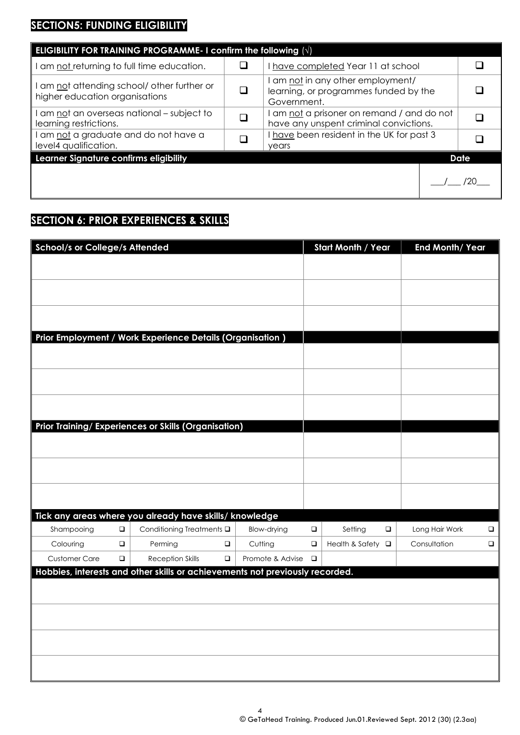# **SECTION5: FUNDING ELIGIBILITY**

| ELIGIBILITY FOR TRAINING PROGRAMME- I confirm the following $\langle \sqrt{n} \rangle$ |  |                                                                                           |  |             |  |  |
|----------------------------------------------------------------------------------------|--|-------------------------------------------------------------------------------------------|--|-------------|--|--|
| am not returning to full time education.                                               |  | have completed Year 11 at school                                                          |  |             |  |  |
| I am not attending school/ other further or<br>higher education organisations          |  | I am not in any other employment/<br>learning, or programmes funded by the<br>Government. |  |             |  |  |
| I am not an overseas national – subject to<br>learning restrictions.                   |  | I am not a prisoner on remand / and do not<br>have any unspent criminal convictions.      |  |             |  |  |
| I am not a graduate and do not have a<br>level4 qualification.                         |  | I have been resident in the UK for past 3<br>years                                        |  |             |  |  |
| Learner Signature confirms eligibility                                                 |  |                                                                                           |  | <b>Date</b> |  |  |
|                                                                                        |  |                                                                                           |  |             |  |  |

# **SECTION 6: PRIOR EXPERIENCES & SKILLS**

| <b>School/s or College/s Attended</b> |                  |                                                           |                  |                             |                  | <b>Start Month / Year</b> |        | End Month/ Year |  |
|---------------------------------------|------------------|-----------------------------------------------------------|------------------|-----------------------------|------------------|---------------------------|--------|-----------------|--|
|                                       |                  |                                                           |                  |                             |                  |                           |        |                 |  |
|                                       |                  |                                                           |                  |                             |                  |                           |        |                 |  |
|                                       |                  |                                                           |                  |                             |                  |                           |        |                 |  |
|                                       |                  |                                                           |                  |                             |                  |                           |        |                 |  |
|                                       |                  |                                                           |                  |                             |                  |                           |        |                 |  |
|                                       |                  | Prior Employment / Work Experience Details (Organisation) |                  |                             |                  |                           |        |                 |  |
|                                       |                  |                                                           |                  |                             |                  |                           |        |                 |  |
|                                       |                  |                                                           |                  |                             |                  |                           |        |                 |  |
|                                       |                  |                                                           |                  |                             |                  |                           |        |                 |  |
|                                       |                  |                                                           |                  |                             |                  |                           |        |                 |  |
|                                       |                  |                                                           |                  |                             |                  |                           |        |                 |  |
|                                       |                  | Prior Training/ Experiences or Skills (Organisation)      |                  |                             |                  |                           |        |                 |  |
|                                       |                  |                                                           |                  |                             |                  |                           |        |                 |  |
|                                       |                  |                                                           |                  |                             |                  |                           |        |                 |  |
|                                       |                  |                                                           |                  |                             |                  |                           |        |                 |  |
|                                       |                  |                                                           |                  |                             |                  |                           |        |                 |  |
|                                       |                  |                                                           |                  |                             |                  |                           |        |                 |  |
|                                       |                  | Tick any areas where you already have skills/ knowledge   |                  |                             |                  |                           |        |                 |  |
| Shampooing                            | $\Box$           | Conditioning Treatments Q                                 |                  | <b>Blow-drying</b>          | $\Box$           | Setting                   | $\Box$ | Long Hair Work  |  |
|                                       |                  |                                                           |                  |                             |                  |                           | $\Box$ |                 |  |
| Colouring<br><b>Customer Care</b>     | $\Box$<br>$\Box$ | Perming<br><b>Reception Skills</b>                        | $\Box$<br>$\Box$ | Cutting<br>Promote & Advise | $\Box$<br>$\Box$ | Health & Safety           |        | Consultation    |  |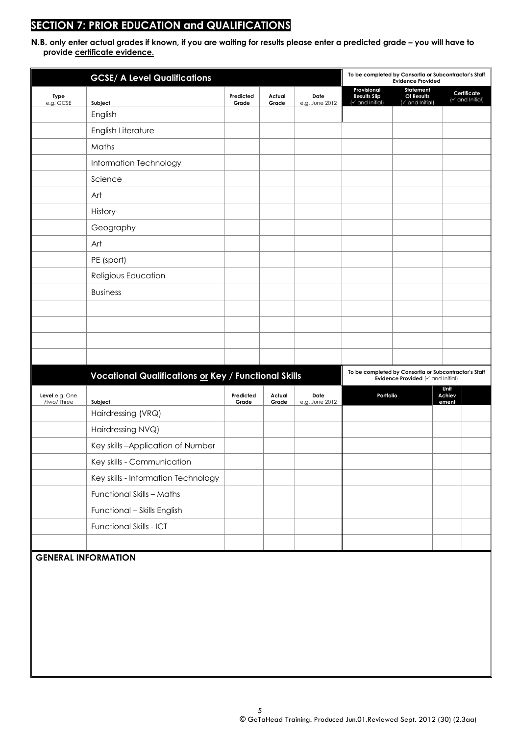# **SECTION 7: PRIOR EDUCATION and QUALIFICATIONS**

**N.B. only enter actual grades if known, if you are waiting for results please enter a predicted grade – you will have to provide certificate evidence.** 

|                                 | <b>GCSE/ A Level Qualifications</b>                  |                    |                 |                        | To be completed by Consortia or Subcontractor's Staff | <b>Evidence Provided</b>                     |                         |                                            |
|---------------------------------|------------------------------------------------------|--------------------|-----------------|------------------------|-------------------------------------------------------|----------------------------------------------|-------------------------|--------------------------------------------|
| Type<br>e.g. GCSE               | Subject                                              | Predicted<br>Grade | Actual<br>Grade | Date<br>e.g. June 2012 | Provisional<br><b>Results Slip</b><br>(v and Initial) | Statement<br>Of Results<br>(v and Initial)   |                         | Certificate<br>$(\checkmark)$ and Initial) |
|                                 | English                                              |                    |                 |                        |                                                       |                                              |                         |                                            |
|                                 | English Literature                                   |                    |                 |                        |                                                       |                                              |                         |                                            |
|                                 | Maths                                                |                    |                 |                        |                                                       |                                              |                         |                                            |
|                                 | Information Technology                               |                    |                 |                        |                                                       |                                              |                         |                                            |
|                                 | Science                                              |                    |                 |                        |                                                       |                                              |                         |                                            |
|                                 | Art                                                  |                    |                 |                        |                                                       |                                              |                         |                                            |
|                                 | History                                              |                    |                 |                        |                                                       |                                              |                         |                                            |
|                                 | Geography                                            |                    |                 |                        |                                                       |                                              |                         |                                            |
|                                 | Art                                                  |                    |                 |                        |                                                       |                                              |                         |                                            |
|                                 | PE (sport)                                           |                    |                 |                        |                                                       |                                              |                         |                                            |
|                                 | Religious Education                                  |                    |                 |                        |                                                       |                                              |                         |                                            |
|                                 | <b>Business</b>                                      |                    |                 |                        |                                                       |                                              |                         |                                            |
|                                 |                                                      |                    |                 |                        |                                                       |                                              |                         |                                            |
|                                 |                                                      |                    |                 |                        |                                                       |                                              |                         |                                            |
|                                 |                                                      |                    |                 |                        |                                                       |                                              |                         |                                            |
|                                 |                                                      |                    |                 |                        |                                                       |                                              |                         |                                            |
|                                 | Vocational Qualifications or Key / Functional Skills |                    |                 |                        | To be completed by Consortia or Subcontractor's Staff | Evidence Provided ( $\check{ }$ and Initial) |                         |                                            |
| Level $e.g.$ One<br>/two/ Three | Subject                                              | Predicted<br>Grade | Actual<br>Grade | Date<br>e.g. June 2012 | Portfolio                                             |                                              | Unit<br>Achiev<br>ement |                                            |
|                                 | Hairdressing (VRQ)                                   |                    |                 |                        |                                                       |                                              |                         |                                            |
|                                 | Hairdressing NVQ)                                    |                    |                 |                        |                                                       |                                              |                         |                                            |
|                                 | Key skills-Application of Number                     |                    |                 |                        |                                                       |                                              |                         |                                            |
|                                 | Key skills - Communication                           |                    |                 |                        |                                                       |                                              |                         |                                            |
|                                 | Key skills - Information Technology                  |                    |                 |                        |                                                       |                                              |                         |                                            |
|                                 | Functional Skills - Maths                            |                    |                 |                        |                                                       |                                              |                         |                                            |
|                                 | Functional - Skills English                          |                    |                 |                        |                                                       |                                              |                         |                                            |
|                                 | Functional Skills - ICT                              |                    |                 |                        |                                                       |                                              |                         |                                            |
|                                 |                                                      |                    |                 |                        |                                                       |                                              |                         |                                            |
| <b>GENERAL INFORMATION</b>      |                                                      |                    |                 |                        |                                                       |                                              |                         |                                            |